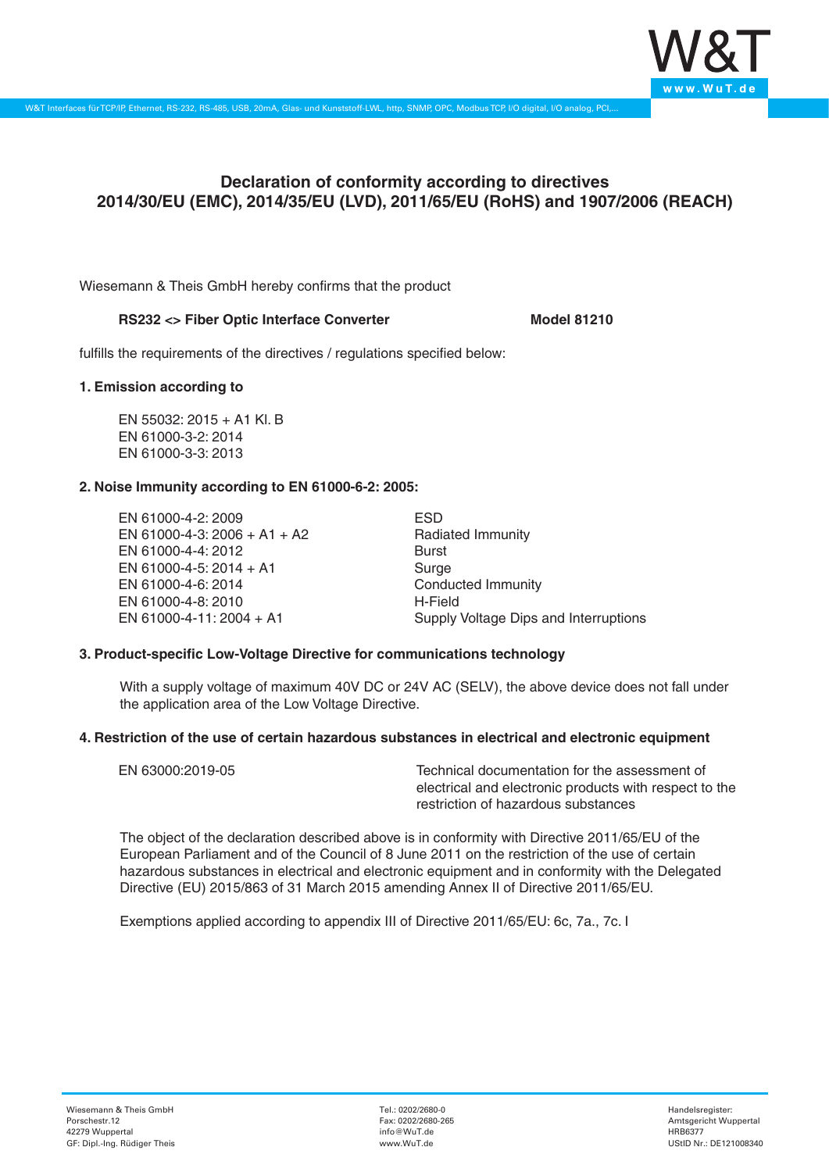

# **Declaration of conformity according to directives 2014/30/EU (EMC), 2014/35/EU (LVD), 2011/65/EU (RoHS) and 1907/2006 (REACH)**

Wiesemann & Theis GmbH hereby confirms that the product

## RS232 <> Fiber Optic Interface Converter Model 81210

fulfills the requirements of the directives / regulations specified below:

#### **1. Emission according to**

EN 55032: 2015 + A1 Kl. B EN 61000-3-2: 2014 EN 61000-3-3: 2013

## **2. Noise Immunity according to EN 61000-6-2: 2005:**

EN 61000-4-2: 2009 EN 61000-4-3: 2006 + A1 + A2 EN 61000-4-4: 2012 EN 61000-4-5: 2014 + A1 EN 61000-4-6: 2014 EN 61000-4-8: 2010 EN 61000-4-11: 2004 + A1

ESD Radiated Immunity Burst Surge Conducted Immunity H-Field Supply Voltage Dips and Interruptions

## **3. Product-specific Low-Voltage Directive for communications technology**

With a supply voltage of maximum 40V DC or 24V AC (SELV), the above device does not fall under the application area of the Low Voltage Directive.

#### **4. Restriction of the use of certain hazardous substances in electrical and electronic equipment**

| EN 63000:2019-05 | Technical documentation for the assessment of          |
|------------------|--------------------------------------------------------|
|                  | electrical and electronic products with respect to the |
|                  | restriction of hazardous substances                    |

The object of the declaration described above is in conformity with Directive 2011/65/EU of the European Parliament and of the Council of 8 June 2011 on the restriction of the use of certain hazardous substances in electrical and electronic equipment and in conformity with the Delegated Directive (EU) 2015/863 of 31 March 2015 amending Annex II of Directive 2011/65/EU.

Exemptions applied according to appendix III of Directive 2011/65/EU: 6c, 7a., 7c. I